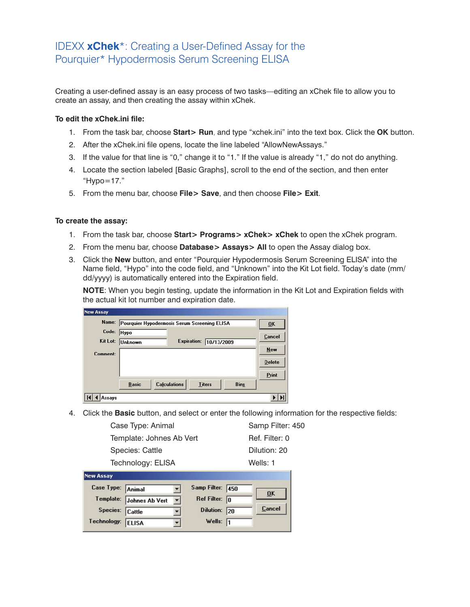## IDEXX **xChek**\*: Creating a User-Defined Assay for the Pourquier\* Hypodermosis Serum Screening ELISA

Creating a user-defined assay is an easy process of two tasks—editing an xChek file to allow you to create an assay, and then creating the assay within xChek.

## **To edit the xChek.ini file:**

- 1. From the task bar, choose **Start> Run**, and type "xchek.ini" into the text box. Click the **OK** button.
- 2. After the xChek.ini file opens, locate the line labeled "AllowNewAssays."
- 3. If the value for that line is "0," change it to "1." If the value is already "1," do not do anything.
- 4. Locate the section labeled [Basic Graphs], scroll to the end of the section, and then enter "Hypo=17."
- 5. From the menu bar, choose **File> Save**, and then choose **File> Exit**.

## **To create the assay:**

- 1. From the task bar, choose **Start> Programs> xChek> xChek** to open the xChek program.
- 2. From the menu bar, choose **Database> Assays> All** to open the Assay dialog box.
- 3. Click the **New** button, and enter "Pourquier Hypodermosis Serum Screening ELISA" into the Name field, "Hypo" into the code field, and "Unknown" into the Kit Lot field. Today's date (mm/ dd/yyyy) is automatically entered into the Expiration field.

**NOTE**: When you begin testing, update the information in the Kit Lot and Expiration fields with the actual kit lot number and expiration date.

| Name:                |                | Pourquier Hypodermosis Serum Screening ELISA |                    |               |             | 0K            |
|----------------------|----------------|----------------------------------------------|--------------------|---------------|-------------|---------------|
| Code:                | Hypo           |                                              |                    |               |             | Cancel        |
| Kit Lot:<br>Comment: | <b>Unknown</b> |                                              | <b>Expiration:</b> | 10/13/2009    |             | <b>New</b>    |
|                      |                |                                              |                    |               |             | <b>Delete</b> |
|                      |                |                                              |                    |               |             | Print         |
|                      | <b>Basic</b>   | <b>Calculations</b>                          |                    | <b>Titers</b> | <b>Bins</b> |               |

4. Click the **Basic** button, and select or enter the following information for the respective fields:

| Technology: ELISA        | Wells: 1         |
|--------------------------|------------------|
| Species: Cattle          | Dilution: 20     |
| Template: Johnes Ab Vert | Ref. Filter: 0   |
| Case Type: Animal        | Samp Filter: 450 |

| Case Type:  | Animal         |                     | Samp Filter: 450        |     | 0 <sup>K</sup> |
|-------------|----------------|---------------------|-------------------------|-----|----------------|
| Template:   | Johnes Ab Vert | $\vert \cdot \vert$ | Ref Filter: $\boxed{0}$ |     |                |
| Species:    | Cattle         |                     | <b>Dilution:</b>        | 120 | Cancel         |
| Technology: | <b>ELISA</b>   |                     | Wells: $\sqrt{1}$       |     |                |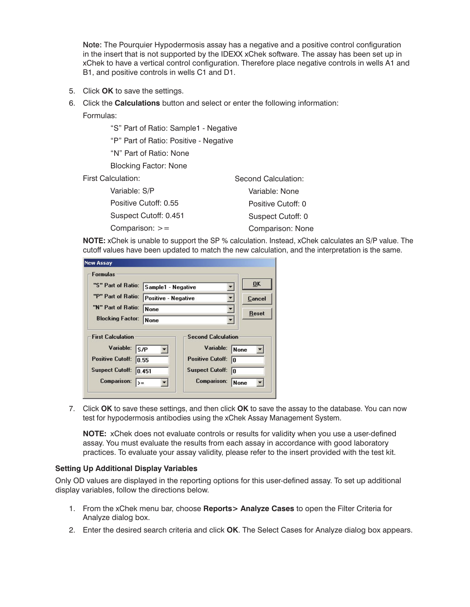Note: The Pourquier Hypodermosis assay has a negative and a positive control configuration in the insert that is not supported by the IDEXX xChek software. The assay has been set up in xChek to have a vertical control configuration. Therefore place negative controls in wells A1 and B1, and positive controls in wells C1 and D1.

- 5. Click **OK** to save the settings.
- 6. Click the **Calculations** button and select or enter the following information:

Formulas:

"S" Part of Ratio: Sample1 - Negative

"P" Part of Ratio: Positive - Negative

"N" Part of Ratio: None

Blocking Factor: None

First Calculation:

| Variable: S/P         | Variable: None     |
|-----------------------|--------------------|
| Positive Cutoff: 0.55 | Positive Cutoff: 0 |
| Suspect Cutoff: 0.451 | Suspect Cutoff: 0  |
| Comparison: $>=$      | Comparison: None   |
|                       |                    |

**NOTE:** xChek is unable to support the SP % calculation. Instead, xChek calculates an S/P value. The cutoff values have been updated to match the new calculation, and the interpretation is the same.

Second Calculation:

| <b>New Assay</b>                                                                                                                |                                                   |                                                                                                                   |                                        |
|---------------------------------------------------------------------------------------------------------------------------------|---------------------------------------------------|-------------------------------------------------------------------------------------------------------------------|----------------------------------------|
| <b>Formulas</b>                                                                                                                 |                                                   |                                                                                                                   |                                        |
| "S" Part of Ratio:                                                                                                              | Sample1 - Negative<br>Positive - Negative<br>None |                                                                                                                   | OK                                     |
| "P" Part of Ratio:                                                                                                              |                                                   |                                                                                                                   | Cancel                                 |
| "N" Part of Ratio:                                                                                                              |                                                   |                                                                                                                   | <b>Reset</b>                           |
| <b>Blocking Factor:</b>                                                                                                         | <b>None</b>                                       |                                                                                                                   |                                        |
| <b>First Calculation</b><br>Variable:<br><b>Positive Cutoff:</b><br><b>Suspect Cutoff:</b><br><b>Comparison:</b><br>$\rangle =$ | S/P<br> 0.55 <br> 0.451                           | <b>Second Calculation</b><br>Variable:<br><b>Positive Cutoff:</b><br><b>Suspect Cutoff:</b><br><b>Comparison:</b> | <b>None</b><br>In<br>In<br><b>None</b> |

7. Click **OK** to save these settings, and then click **OK** to save the assay to the database. You can now test for hypodermosis antibodies using the xChek Assay Management System.

**NOTE:** xChek does not evaluate controls or results for validity when you use a user-defined assay. You must evaluate the results from each assay in accordance with good laboratory practices. To evaluate your assay validity, please refer to the insert provided with the test kit.

## **Setting Up Additional Display Variables**

Only OD values are displayed in the reporting options for this user-defined assay. To set up additional display variables, follow the directions below.

- 1. From the xChek menu bar, choose **Reports> Analyze Cases** to open the Filter Criteria for Analyze dialog box.
- 2. Enter the desired search criteria and click **OK**. The Select Cases for Analyze dialog box appears.